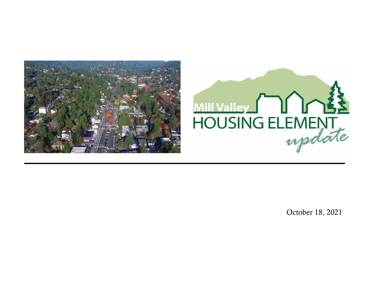



October 18, 2021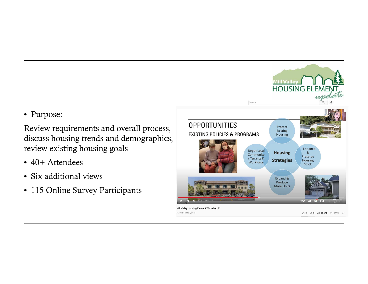## • Purpose:

Review requirements and overall process, discuss housing trends and demographics, review existing housing goals

- 40+ Attendees
- Six additional views
- 115 Online Survey Participants

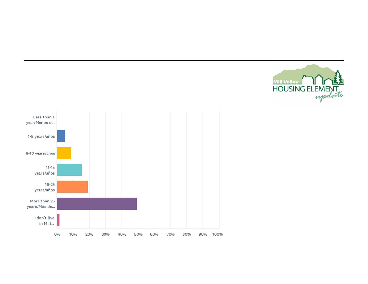

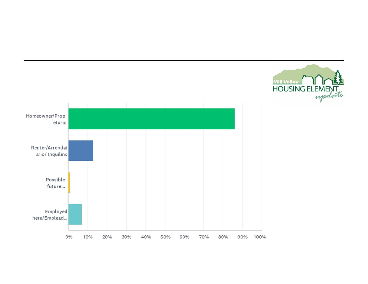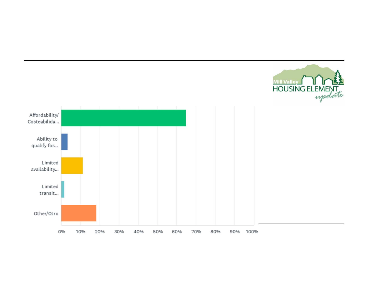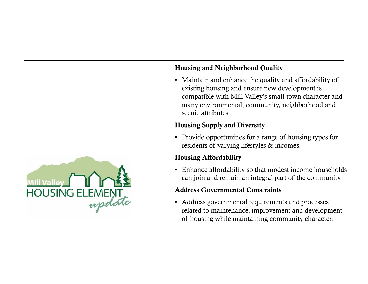#### • Maintain and enhance the quality and affordability of existing housing and ensure new development is

compatible with Mill Valley's small-town character and many environmental, community, neighborhood and scenic attributes.

## Housing Supply and Diversity

Housing and Neighborhood Quality

• Provide opportunities for a range of housing types for residents of varying lifestyles & incomes.

## Housing Affordability

• Enhance affordability so that modest income households can join and remain an integral part of the community.

#### Address Governmental Constraints

• Address governmental requirements and processes related to maintenance, improvement and development of housing while maintaining community character.

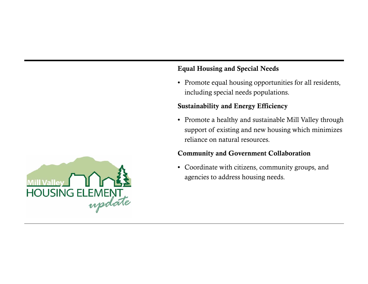### Equal Housing and Special Needs

• Promote equal housing opportunities for all residents, including special needs populations.

#### Sustainability and Energy Efficiency

• Promote a healthy and sustainable Mill Valley through support of existing and new housing which minimizes reliance on natural resources.

#### Community and Government Collaboration

• Coordinate with citizens, community groups, and agencies to address housing needs.

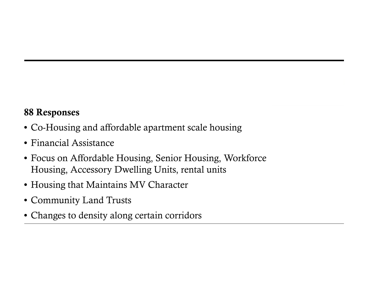## 88 Responses

- Co-Housing and affordable apartment scale housing
- Financial Assistance
- Focus on Affordable Housing, Senior Housing, Workforce Housing, Accessory Dwelling Units, rental units
- Housing that Maintains MV Character
- Community Land Trusts
- Changes to density along certain corridors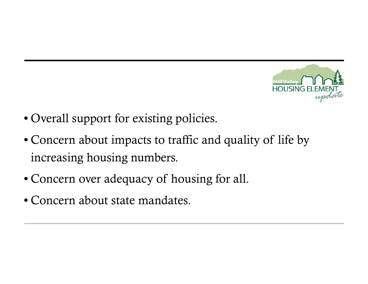

- Overall support for existing policies.
- Concern about impacts to traffic and quality of life by increasing housing numbers.
- Concern over adequacy of housing for all.
- Concern about state mandates.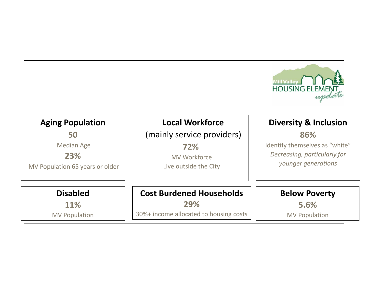

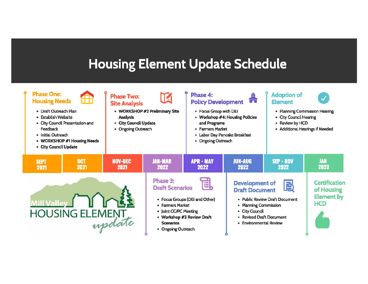## **Housing Element Update Schedule**

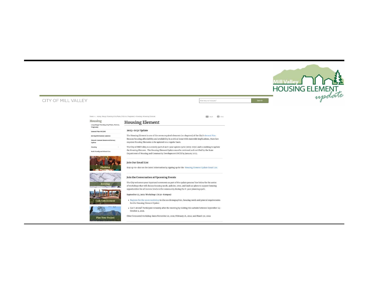#### Mill Valley Mill Valley Mill Valley Mill Valley Mill Valley Mill Valley Mill Valley Mill Valley Mill Valley Mill Valley Mill Valley Mill Valley Mill Valley Mill Valley Mill Valley Mill Valley Mill Valley Mill Valley Mill V Home »... »Long-Range Planning (City Plans, Policies, Programs) »Housing »Housing Element  $\sqrt{\frac{1}{4\pi r^2}}$  Print **ESS** *Email* Housing Housing Element Long-Range Planning (City Plans, Policie:<br>Programs) 2023-2031 Update General Plan MV2040 The Housing Element is one of the seven required elements (or chapters) of the City's General Plan. Zoning (Ordinance) Updates Because housing affordability and availability is a critical issue with statewide implications, State law Historic Context Statement/Survey requires Housing Elements to be updated on a regular basis. Update The City of Mill Valley is currently part of an 8-year update cycle (2023-2031) and is working to update Housing the Housing Element. The Housing Element Update must be reviewed and certified by the State Department of Housing and Community Development (HCD) by January 2023.  $\sim$   $\sim$   $\sim$ - - Join Our Email List  $\sim$  1. The state  $\sim$ Planning Stay up-to-date on the latest information by signing up for the Housing Element Update Email List. Join the Conversation at Upcoming Events The City welcomes your input and comments as part of the update process! See below for the series of workshops that will discuss housing needs, policies, sites, and land use plans to support housing opportunities for all income levels in the community during the 8- year planning cycle. September 23,2021: Workshop 1 (6:30-S:oopm) • Register for the zoom workshop to discuss demographics, housing needs and general requirements **Code Enfor** for the Housing Element Update • can't attend? Participate remotely after the meeting by visiting this website between september 24- 經驗 October 2, 2021. Other forecasted workshop dates:November 10, 2021; February 16, 2022; and March 30, 2022 Plan Your Project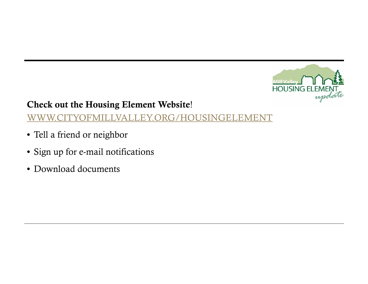

## Check out the Housing Element Website!

## WWW.CITYOFMILLVALLEY.ORG/HOUSINGELEMENT

- Tell a friend or neighbor
- Sign up for e-mail notifications
- Download documents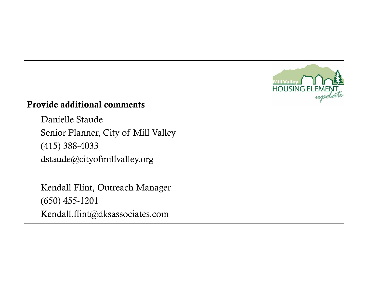

## Provide additional comments

Danielle Staude Senior Planner, City of Mill Valley (415) 388-4033 dstaude@cityofmillvalley.org

Kendall Flint, Outreach Manager (650) 455-1201 Kendall.flint@dksassociates.com